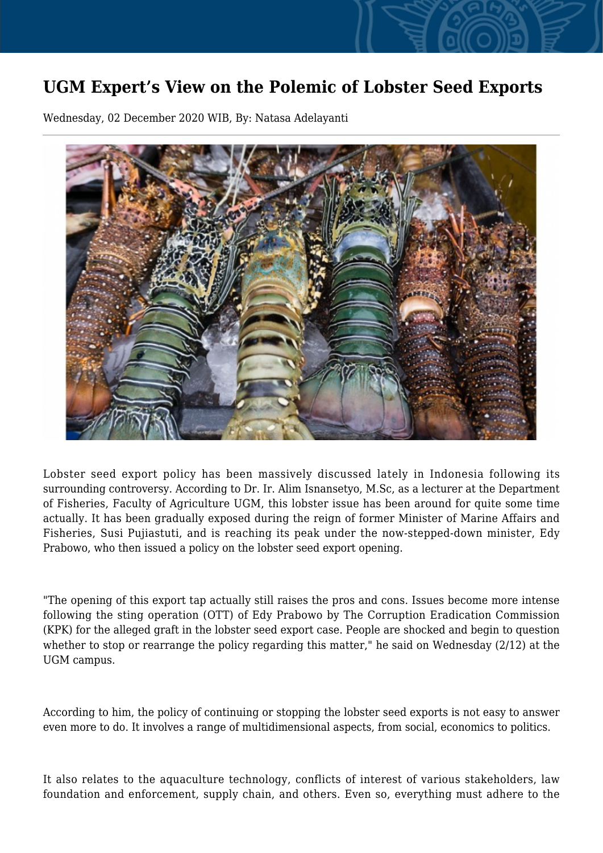## **UGM Expert's View on the Polemic of Lobster Seed Exports**

Wednesday, 02 December 2020 WIB, By: Natasa Adelayanti



Lobster seed export policy has been massively discussed lately in Indonesia following its surrounding controversy. According to Dr. Ir. Alim Isnansetyo, M.Sc, as a lecturer at the Department of Fisheries, Faculty of Agriculture UGM, this lobster issue has been around for quite some time actually. It has been gradually exposed during the reign of former Minister of Marine Affairs and Fisheries, Susi Pujiastuti, and is reaching its peak under the now-stepped-down minister, Edy Prabowo, who then issued a policy on the lobster seed export opening.

"The opening of this export tap actually still raises the pros and cons. Issues become more intense following the sting operation (OTT) of Edy Prabowo by The Corruption Eradication Commission (KPK) for the alleged graft in the lobster seed export case. People are shocked and begin to question whether to stop or rearrange the policy regarding this matter," he said on Wednesday (2/12) at the UGM campus.

According to him, the policy of continuing or stopping the lobster seed exports is not easy to answer even more to do. It involves a range of multidimensional aspects, from social, economics to politics.

It also relates to the aquaculture technology, conflicts of interest of various stakeholders, law foundation and enforcement, supply chain, and others. Even so, everything must adhere to the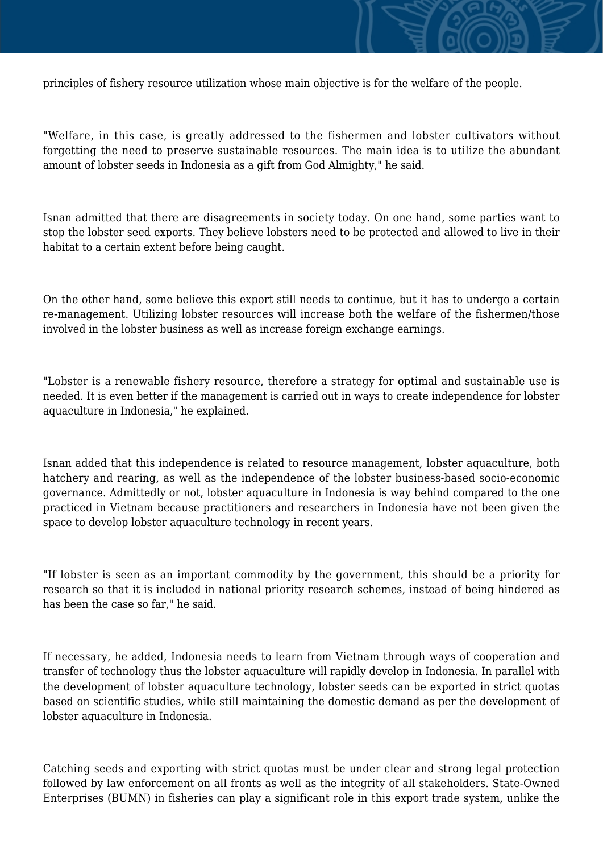

"Welfare, in this case, is greatly addressed to the fishermen and lobster cultivators without forgetting the need to preserve sustainable resources. The main idea is to utilize the abundant amount of lobster seeds in Indonesia as a gift from God Almighty," he said.

Isnan admitted that there are disagreements in society today. On one hand, some parties want to stop the lobster seed exports. They believe lobsters need to be protected and allowed to live in their habitat to a certain extent before being caught.

On the other hand, some believe this export still needs to continue, but it has to undergo a certain re-management. Utilizing lobster resources will increase both the welfare of the fishermen/those involved in the lobster business as well as increase foreign exchange earnings.

"Lobster is a renewable fishery resource, therefore a strategy for optimal and sustainable use is needed. It is even better if the management is carried out in ways to create independence for lobster aquaculture in Indonesia," he explained.

Isnan added that this independence is related to resource management, lobster aquaculture, both hatchery and rearing, as well as the independence of the lobster business-based socio-economic governance. Admittedly or not, lobster aquaculture in Indonesia is way behind compared to the one practiced in Vietnam because practitioners and researchers in Indonesia have not been given the space to develop lobster aquaculture technology in recent years.

"If lobster is seen as an important commodity by the government, this should be a priority for research so that it is included in national priority research schemes, instead of being hindered as has been the case so far," he said.

If necessary, he added, Indonesia needs to learn from Vietnam through ways of cooperation and transfer of technology thus the lobster aquaculture will rapidly develop in Indonesia. In parallel with the development of lobster aquaculture technology, lobster seeds can be exported in strict quotas based on scientific studies, while still maintaining the domestic demand as per the development of lobster aquaculture in Indonesia.

Catching seeds and exporting with strict quotas must be under clear and strong legal protection followed by law enforcement on all fronts as well as the integrity of all stakeholders. State-Owned Enterprises (BUMN) in fisheries can play a significant role in this export trade system, unlike the